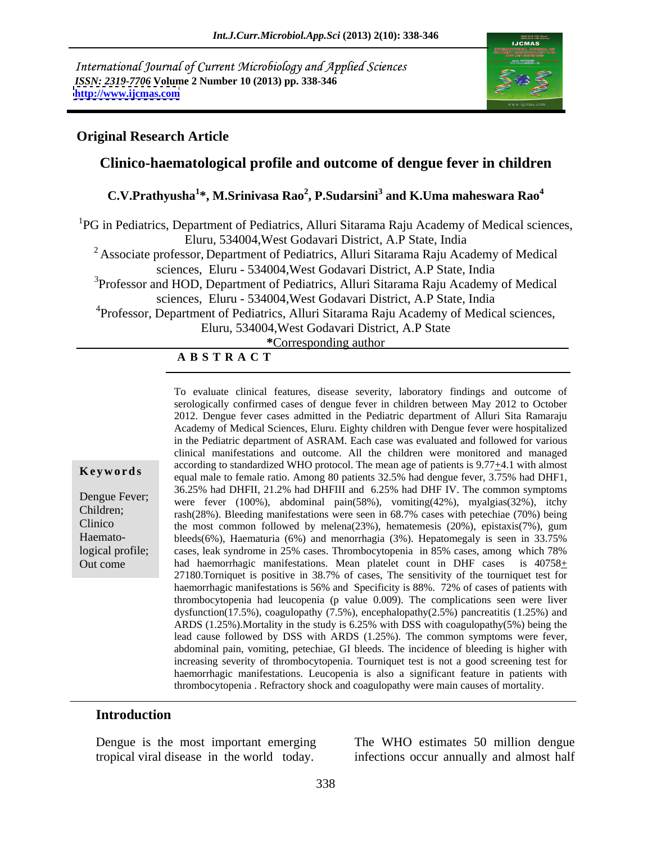International Journal of Current Microbiology and Applied Sciences *ISSN: 2319-7706* **Volume 2 Number 10 (2013) pp. 338-346 <http://www.ijcmas.com>**



### **Original Research Article**

## **Clinico-haematological profile and outcome of dengue fever in children**

## **C.V.Prathyusha<sup>1</sup> \*, M.Srinivasa Rao<sup>2</sup> , P.Sudarsini<sup>3</sup> and K.Uma maheswara Rao<sup>4</sup>**

<sup>1</sup>PG in Pediatrics, Department of Pediatrics, Alluri Sitarama Raju Academy of Medical sciences, Eluru, 534004,West Godavari District, A.P State, India

<sup>2</sup> Associate professor, Department of Pediatrics, Alluri Sitarama Raju Academy of Medical sciences, Eluru - 534004,West Godavari District, A.P State, India

<sup>3</sup>Professor and HOD, Department of Pediatrics, Alluri Sitarama Raju Academy of Medical

sciences, Eluru - 534004,West Godavari District, A.P State, India

<sup>4</sup>Professor, Department of Pediatrics, Alluri Sitarama Raju Academy of Medical sciences,

Eluru, 534004,West Godavari District, A.P State

**\***Corresponding author

### **A B S T R A C T**

**Key words**equal male to female ratio. Among 80 patients 32.5% had dengue fever, 3.75% had DHF1, Dengue Fever; were fever  $(100\%)$ , abdominal pain(58%), vomiting(42%), myalgias(32%), itchy Children; rash(28%). Bleeding manifestations were seen in 68.7% cases with petechiae (70%) being Clinico the most common followed by melena(23%), hematemesis (20%), epistaxis(7%), gum logical profile; cases, leak syndrome in 25% cases. Thrombocytopenia in 85% cases, among which 78% Out come had haemorrhagic manifestations. Mean platelet count in DHF cases is  $40758<sub>±</sub>$ To evaluate clinical features, disease severity, laboratory findings and outcome of serologically confirmed cases of dengue fever in children between May 2012 to October 2012. Dengue fever cases admitted in the Pediatric department of Alluri Sita Ramaraju Academy of Medical Sciences, Eluru. Eighty children with Dengue fever were hospitalized in the Pediatric department of ASRAM. Each case was evaluated and followed for various clinical manifestations and outcome. All the children were monitored and managed according to standardized WHO protocol. The mean age of patients is  $9.77<sub>\pm</sub>4.1$  with almost 36.25% had DHFII, 21.2% had DHFIII and 6.25% had DHF IV. The common symptoms bleeds(6%), Haematuria (6%) and menorrhagia (3%). Hepatomegaly is seen in 33.75% 27180.Torniquet is positive in 38.7% of cases, The sensitivity of the tourniquet test for haemorrhagic manifestations is 56% and Specificity is 88%. 72% of cases of patients with thrombocytopenia had leucopenia (p value 0.009). The complications seen were liver dysfunction(17.5%), coagulopathy  $(7.5%)$ , encephalopathy $(2.5%)$  pancreatitis  $(1.25%)$  and ARDS (1.25%).Mortality in the study is 6.25% with DSS with coagulopathy(5%) being the lead cause followed by DSS with ARDS (1.25%). The common symptoms were fever, abdominal pain, vomiting, petechiae, GI bleeds. The incidence of bleeding is higher with increasing severity of thrombocytopenia. Tourniquet test is not a good screening test for haemorrhagic manifestations. Leucopenia is also a significant feature in patients with thrombocytopenia . Refractory shock and coagulopathy were main causes of mortality.

### **Introduction**

Haemato-

Dengue is the most important emerging The WHO estimates 50 million dengue tropical viral disease in the world today. infections occur annually and almost half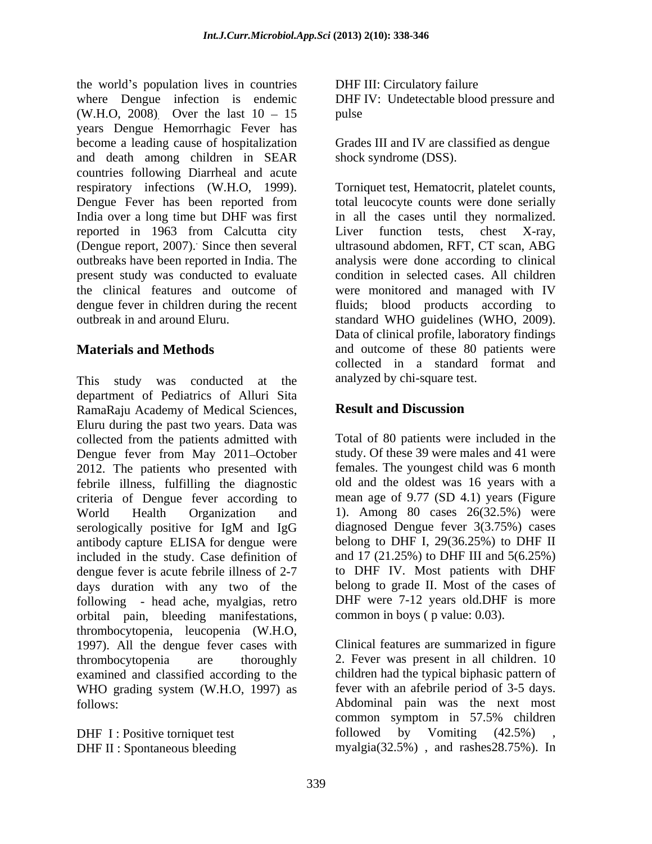the world's population lives in countries where Dengue infection is endemic DHF IV: Undetectable blood pressure and (W.H.O, 2008) Over the last  $10 - 15$  pulse years Dengue Hemorrhagic Fever has become a leading cause of hospitalization and death among children in SEAR countries following Diarrheal and acute respiratory infections (W.H.O, 1999). Torniquet test, Hematocrit, platelet counts,<br>Dengue Fever has been reported from total leucocyte counts were done serially India over a long time but DHF was first in all the cases until they normalized. reported in 1963 from Calcutta city Liver function tests, chest X-ray, (Dengue report, 2007). Since then several outbreaks have been reported in India. The analysis were done according to clinical present study was conducted to evaluate the clinical features and outcome of were monitored and managed with IV dengue fever in children during the recent fluids; blood products according to

This study was conducted at the department of Pediatrics of Alluri Sita RamaRaju Academy of Medical Sciences, **Result and Discussion** Eluru during the past two years. Data was collected from the patients admitted with Dengue fever from May 2011–October 2012. The patients who presented with febrile illness, fulfilling the diagnostic criteria of Dengue fever according to World Health Organization and 1). Among 80 cases 26(32.5%) were serologically positive for IgM and IgG diagnosed Dengue fever 3(3.75%) cases antibody capture ELISA for dengue were included in the study. Case definition of dengue fever is acute febrile illness of 2-7 days duration with any two of the belong to grade II. Most of thecases of following - head ache, myalgias, retro orbital pain, bleeding manifestations, thrombocytopenia, leucopenia (W.H.O, 1997). All the dengue fever cases with thrombocytopenia are thoroughly 2. Fever was present in all children. 10 examined and classified according to the WHO grading system (W.H.O, 1997) as follows: Abdominal pain was the next most

DHF I : Positive torniquet test followed

DHF III: Circulatory failure pulse **pulse** 

Grades III and IV are classified as dengue shock syndrome (DSS).

. Since then several ultrasound abdomen, RFT, CT scan, ABG outbreak in and around Eluru. standard WHO guidelines (WHO, 2009). **Materials and Methods** and outcome of these 80 patients were Torniquet test, Hematocrit, platelet counts, total leucocyte counts were done serially Liver function tests, chest X-ray, condition in selected cases. All children Data of clinical profile, laboratory findings collected in a standard format and analyzed by chi-square test.

## **Result and Discussion**

Total of 80 patients were included in the study. Of these 39 were males and 41 were females. The youngest child was 6 month old and the oldest was 16 years with a mean age of 9.77 (SD 4.1) years (Figure diagnosed Dengue fever 3(3.75%) cases belong to DHF I,  $29(36.25%)$  to DHF II and 17 (21.25%) to DHF III and 5(6.25%) to DHF IV. Most patients with DHF DHF were 7-12 years old.DHF is more common in boys ( p value: 0.03).

DHF II: Spontaneous bleeding myalgia(32.5%), and rashes 28.75%). In Clinical features are summarized in figure children had the typical biphasic pattern of fever with an afebrile period of 3-5 days. common symptom in 57.5% children by Vomiting  $(42.5\%)$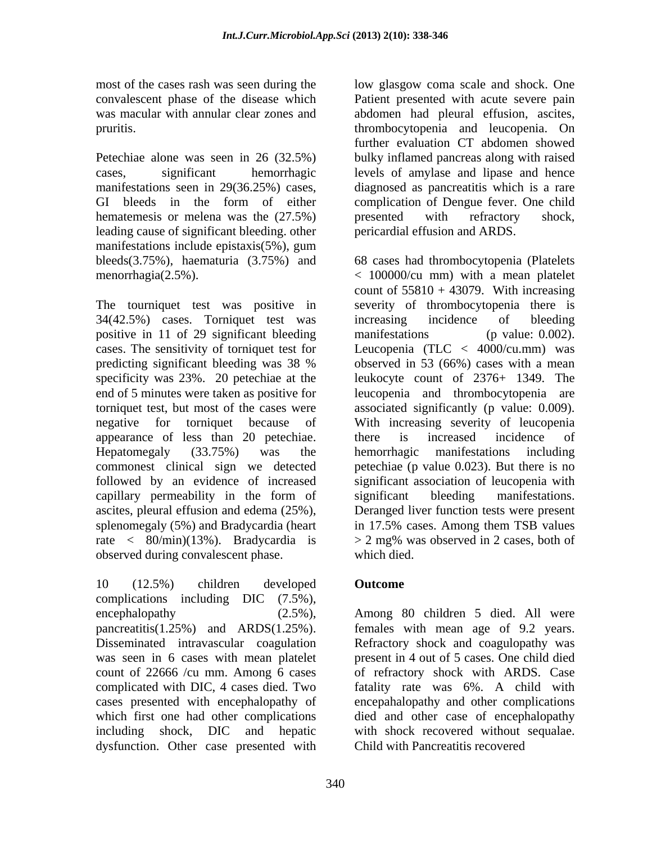Petechiae alone was seen in 26 (32.5%) bulky inflamed pancreas along with raised cases, significant hemorrhagic levels of amylase and lipase and hence manifestations seen in 29(36.25%) cases, diagnosed as pancreatitis which is a rare GI bleeds in the form of either complication of Dengue fever. One child hematemesis or melena was the (27.5%) between with refractory shock, leading cause of significant bleeding. other manifestations include epistaxis(5%), gum

34(42.5%) cases. Torniquet test was positive in 11 of 29 significant bleeding manifestations (p value: 0.002). appearance of less than 20 petechiae. commonest clinical sign we detected capillary permeability in the form of significant bleeding manifestations. observed during convalescent phase.

10 (12.5%) children developed complications including DIC (7.5%), encephalopathy (2.5%), Among 80 children 5 died. All were pancreatitis(1.25%) and ARDS(1.25%). females with mean age of 9.2 years. Disseminated intravascular coagulation Refractory shock and coagulopathy was was seen in 6 cases with mean platelet present in 4 out of 5 cases. One child died count of 22666 /cu mm. Among 6 cases of refractory shock with ARDS. Case complicated with DIC, 4 cases died. Two fatality rate was 6%. A child with cases presented with encephalopathy of encepahalopathy and other complications which first one had other complications died and other case of encephalopathy including shock, DIC and hepatic with shock recovered without sequalae. dysfunction. Other case presented with

most of the cases rash was seen during the low glasgow coma scale and shock. One convalescent phase of the disease which Patient presented with acute severe pain was macular with annular clear zones and abdomen had pleural effusion, ascites, pruritis. thrombocytopenia and leucopenia. On further evaluation CT abdomen showed presented with refractory shock, pericardial effusion and ARDS.

bleeds(3.75%), haematuria (3.75%) and 68 cases had thrombocytopenia (Platelets menorrhagia(2.5%). < 100000/cu mm) with a mean platelet The tourniquet test was positive in severity of thrombocytopenia there is cases. The sensitivity of torniquet test for Leucopenia (TLC < 4000/cu.mm) was predicting significant bleeding was 38 % specificity was 23%. 20 petechiae at the leukocyte count of 2376+ 1349. The end of 5 minutes were taken as positive for leucopenia and thrombocytopenia are torniquet test, but most of the cases were associated significantly (p value: 0.009). negative for torniquet because of With increasing severity of leucopenia Hepatomegaly (33.75%) was the hemorrhagic manifestations including followed by an evidence of increased significant association of leucopenia with ascites, pleural effusion and edema (25%), Deranged liver function tests were present splenomegaly (5%) and Bradycardia (heart in 17.5% cases. Among them TSB values rate < 80/min)(13%). Bradycardia is > 2 mg% was observed in 2cases, both of count of  $55810 + 43079$ . With increasing increasing incidence of bleeding manifestations (p value: 0.002). observed in 53 (66%) cases with a mean there is increased incidence of petechiae (p value 0.023). But there is no significant bleeding manifestations. which died.

## **Outcome** *Outcome*

Child with Pancreatitis recovered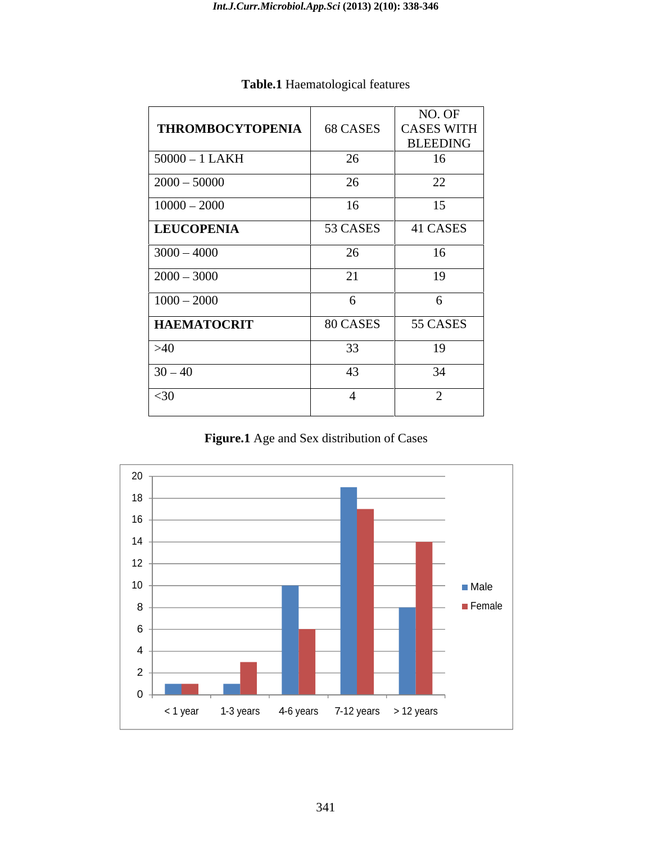|                         |                           | NO. OF          |
|-------------------------|---------------------------|-----------------|
| <b>THROMBOCYTOPENIA</b> | 68 CASES                  | CASES WITH      |
|                         |                           | <b>BLEEDING</b> |
| $50000 - 1$ LAKH        | 26                        | 16              |
| $2000 - 50000$          | 26                        | 22              |
| $10000 - 2000$          | 16                        | 15              |
| <b>LEUCOPENIA</b>       | 53 CASES                  | 41 CASES        |
| $3000 - 4000$           | 26                        | 16              |
| $2000 - 3000$           | $\bigcap$ 1<br>$\angle 1$ | 19              |
| $1000 - 2000$           |                           | h.              |
| <b>HAEMATOCRIT</b>      | 80 CASES                  | 55 CASES        |
| >40                     | 33                        | 19              |
| $30 - 40$               | 43                        | 34              |
| $<$ 30                  |                           |                 |
|                         |                           |                 |

# **Table.1** Haematological features

**Figure.1** Age and Sex distribution of Cases

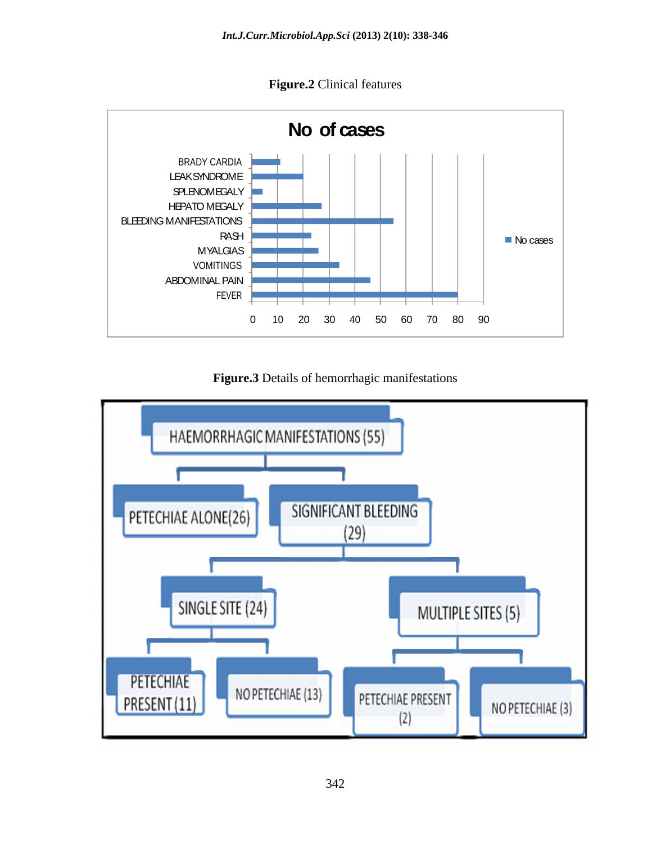**Figure.2** Clinical features



**Figure.3** Details of hemorrhagic manifestations

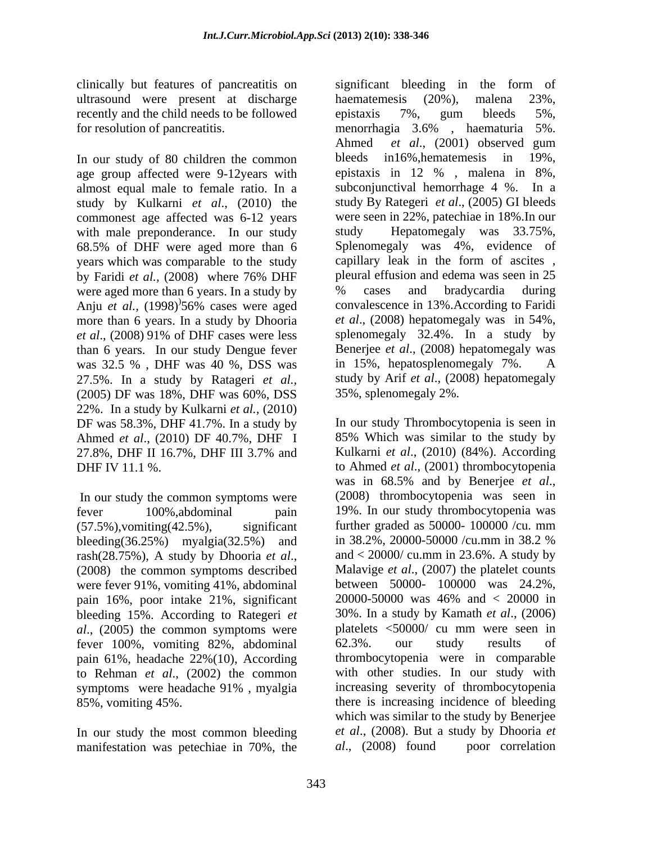clinically but features of pancreatitis on ultrasound were present at discharge haematemesis (20%), malena 23%, recently and the child needs to be followed epistaxis 7%, gum bleeds 5%, for resolution of pancreatitis. The memorrhagia 3.6%, haematuria 5%.

In our study of 80 children the common bleeds in 16%, hematemesis in 19%, age group affected were 9-12years with epistaxis in 12 %, malena in 8%, almost equal male to female ratio. In a study by Kulkarni *et al*., (2010) the commonest age affected was 6-12 years with male preponderance. In our study study 68.5% of DHF were aged more than 6 were aged more than 6 years. In a study by  $\frac{96}{2}$  cases and bradycardia during Anju *et al.,* (1998) more than 6 years. In a study by Dhooria *et al*., (2008) 91% of DHF cases were less than 6 years. In our study Dengue fever<br>was 32.5 %. DHF was 40 %. DSS was in 15%, hepatosplenomegaly 7%. was 32.5 %, DHF was 40 %, DSS was in 15%, hepatosplenomegaly 7%. A 27.5%. In a study by Ratageri *et al.,* (2005) DF was 18%, DHF was 60%, DSS 22%. In a study by Kulkarni *et al.,* (2010) DF was 58.3%, DHF 41.7%. In a study by Ahmed *et al*., (2010) DF 40.7%, DHF I 27.8%, DHF II 16.7%, DHF III 3.7% and Kulkarni *et al.*, (2010) (84%). According DHF IV 11.1 %. to Ahmed *et al*., (2001) thrombocytopenia

In our study the common symptoms were (2008) thrombocytopenia was seen in fever 100%,abdominal pain 19%. In our study thrombocytopenia was  $(57.5\%)$ , vomiting(42.5%), significant further graded as 50000-100000 /cu. mm<br>bleeding(36.25%) mvalgia(32.5%) and in 38.2%, 20000-50000 /cu.mm in 38.2 % bleeding(36.25%) myalgia(32.5%) and rash(28.75%), A study by Dhooria *et al.*, and < 20000/ cu.mm in 23.6%. A study by (2008) the common symptoms described Malavige *et al.*, (2007) the platelet counts were fever 91%, vomiting 41%, abdominal pain 16%, poor intake 21%, significant  $20000-50000$  was 46% and  $\lt 20000$  in bleeding 15%. According to Rategeri *et al*., (2005) the common symptoms were fever 100%, vomiting 82%, abdominal pain 61%, headache 22%(10), According to Rehman *et al*., (2002) the common symptoms were headache 91%, myalgia increasing severity of thrombocytopenia 85%, vomiting 45%. there is increasing incidence of bleeding

In our study the most common bleeding *et al.*, (2008). But a study by Dhooria *et* manifestation was netechiae in 70%, the *al.*, (2008) found poor correlation manifestation was petechiae in 70%, the

years which was comparable to the study capillary leak in the form of ascites , by Faridi *et al.,* (2008) where 76% DHF  $956\%$  cases were aged convalescence in 13%. According to Faridi significant bleeding in the form of haematemesis (20%), malena 23%, epistaxis 7%, gum bleeds 5%, menorrhagia 3.6% , haematuria 5%. Ahmed *et al*., (2001) observed gum bleeds in 16%, hematemesis epistaxis in 12 % , malena in 8%, subconjunctival hemorrhage 4 %. In a study By Rategeri *et al*., (2005) GI bleeds were seen in 22%, patechiae in 18%.In our Hepatomegaly was 33.75%, Splenomegaly was 4%, evidence of pleural effusion and edema was seen in 25 % cases and bradycardia during convalescence in 13%.According to Faridi *et al*., (2008) hepatomegaly was in 54%, splenomegaly 32.4%. In a study by Benerjee *et al*., (2008) hepatomegaly was in 15%, hepatosplenomegaly 7%. A study by Arif *et al*., (2008) hepatomegaly 35%, splenomegaly 2%.

> In our study Thrombocytopenia is seen in 85% Which was similar to the study by Kulkarni *et al*., (2010) (84%). According was in 68.5% and by Benerjee *et al*., (2008) thrombocytopenia was seen in further graded as 50000- 100000 /cu. mm in 38.2%, 20000-50000 /cu.mm in 38.2 % and  $<$  20000/ cu.mm in 23.6%. A study by Malavige *et al*., (2007) the platelet counts between 50000- 100000 was 24.2%, 20000-50000 was 46% and < 20000 in 30%. In a study by Kamath *et al*., (2006) platelets <50000/ cu mm were seen in 62.3%. our study results of thrombocytopenia were in comparable with other studies. In our study with increasing severity of thrombocytopenia which was similar to the study by Benerjee *et al*., (2008). But a study by Dhooria *et al*., (2008) found poor correlation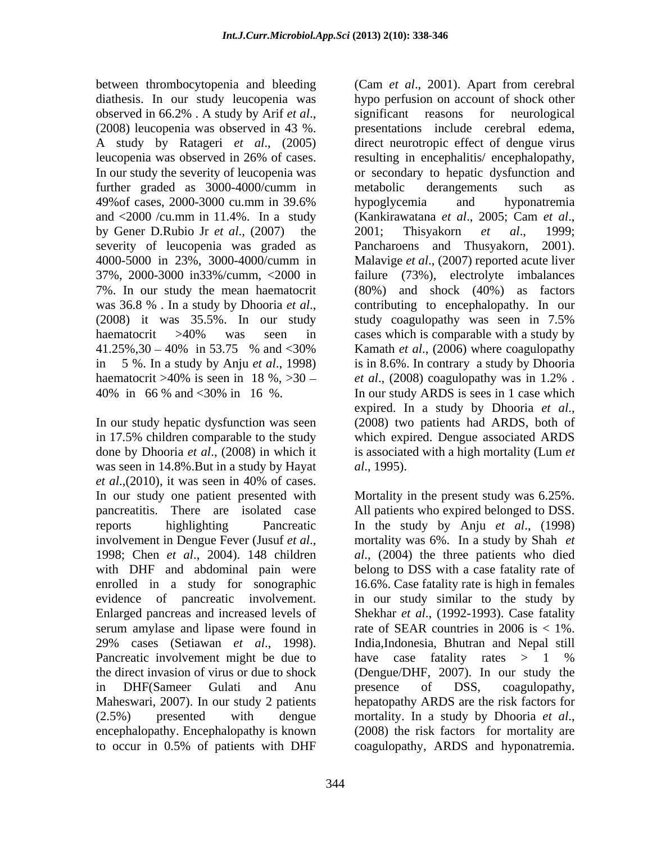between thrombocytopenia and bleeding (Cam *et al*., 2001). Apart from cerebral further graded as 3000-4000/cumm in metabolic derangements such as and  $\langle 2000 \rangle$  /cu.mm in 11.4%. In a study (Kankirawatana *et al.*, 2005; Cam *et al.*, by Gener D.Rubio Jr *et al*., (2007) the haematocrit >40% is seen in 18 %, >30 - *et al.*, (2008) coagulopathy was in 1.2%.

In our study hepatic dysfunction was seen (2008) two patients had ARDS, both of in 17.5% children comparable to the study was seen in 14.8%.But in a study by Hayat *al.*, 1995). *et al*.,(2010), it was seen in 40% of cases. enrolled in a study for sonographic  $(2.5\%)$  presented with dengue mortality. In a study by Dhooria *et al.*, encephalopathy. Encephalopathy is known (2008) the risk factors for mortality are

diathesis. In our study leucopenia was hypo perfusion on account of shock other observed in 66.2% . A study by Arif *et al*., significant reasons for neurological (2008) leucopenia was observed in 43 %. <br>(2008) leucopenia was observed in 43 %. <br> A study by Ratageri *et al*., (2005) direct neurotropic effect of dengue virus leucopenia was observed in 26% of cases. In our study the severity of leucopenia was or secondary to hepatic dysfunction and 49%of cases, 2000-3000 cu.mm in 39.6% severity of leucopenia was graded as Pancharoens and Thusyakorn, 2001). 4000-5000 in 23%, 3000-4000/cumm in Malavige *et al*., (2007) reported acute liver 37%, 2000-3000 in33%/cumm, <2000 in failure (73%), electrolyte imbalances 7%. In our study the mean haematocrit (80%) and shock (40%) as factors was 36.8 % . In a study by Dhooria *et al*., contributing to encephalopathy. In our (2008) it was 35.5%. In our study study coagulopathy was seen in 7.5% haematocrit >40% was seen in cases which is comparable with a study by 41.25%,30 – 40% in 53.75 % and <30% Kamath *et al.*, (2006) where coagulopathy in 5 %. In a study by Anju *et al*., 1998) is in 8.6%. In contrary a study by Dhooria 40% in 66 % and <30% in 16 %. In our study ARDS is sees in 1 case which done by Dhooria *et al*., (2008) in which it is associated with a high mortality (Lum *et*  significant reasons for neurological presentations include cerebral edema, resulting in encephalitis/ encephalopathy, metabolic derangements such as hypoglycemia and hyponatremia (Kankirawatana *et al*., 2005; Cam *et al*., 2001; Thisyakorn *et al*., 1999; contributing to encephalopathy. In our study coagulopathy was seen in 7.5% Kamath *et al*., (2006) where coagulopathy *et al*., (2008) coagulopathy was in 1.2% . expired. In <sup>a</sup> study by Dhooria *et al*., (2008) two patients had ARDS, both of which expired. Dengue associated ARDS *al*., 1995).

In our study one patient presented with Mortality in the present study was 6.25%. pancreatitis. There are isolated case All patients who expired belonged to DSS. reports highlighting Pancreatic In the study by Anju *et al*., (1998) involvement in Dengue Fever (Jusuf *et al.*, mortality was 6%. In a study by Shah *et*<br>1998; Chen *et al.*, 2004). 148 children *al.*, (2004) the three patients who died with DHF and abdominal pain were belong to DSS with a case fatality rate of evidence of pancreatic involvement. in our study similar to the study by Enlarged pancreas and increased levels of Shekhar *et al*., (1992-1993). Case fatality serum amylase and lipase were found in rate of SEAR countries in 2006 is < 1%. 29% cases (Setiawan *et al*., 1998). Pancreatic involvement might be due to the direct invasion of virus or due to shock (Dengue/DHF, 2007). In our study the in DHF(Sameer Gulati and Anu presence of DSS, coagulopathy, Maheswari, 2007). In our study 2 patients hepatopathy ARDS are the risk factors for to occur in 0.5% of patients with DHF coagulopathy, ARDS and hyponatremia.mortality was 6%. In a study by Shah *et al*., (2004) the three patients who died 16.6%. Case fatality rate is high in females India,Indonesia, Bhutran and Nepal still have case fatality rates > 1 % presence of DSS, coagulopathy, mortality. In <sup>a</sup> study by Dhooria *et al*., (2008) the risk factors for mortality are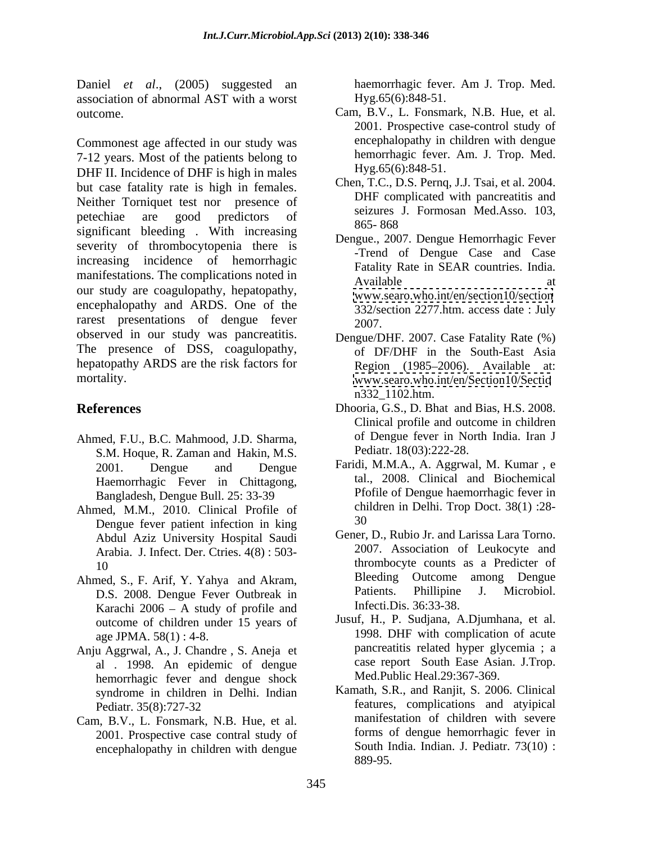Daniel *et al.*, (2005) suggested an haemorrhagic fever. Am J. Trop. Med. association of abnormal AST with a worst

Commonest age affected in our study was 7-12 years. Most of the patients belong to DHF II. Incidence of DHF is high in males but case fatality rate is high in females. Neither Torniquet test nor presence of petechiae are good predictors of seizures behind the new network significant bleeding. With increasing 865-868 severity of thrombocytopenia there is increasing incidence of hemorrhagic manifestations. The complications noted in<br>Available at a set of the set of the set of the set of the set of the set of the set of the set of the set of the set of the set of the set of the set of the set of the set of the our study are coagulopathy, hepatopathy, encephalopathy and ARDS. One of the rarest presentations of dengue fever 2007. observed in our study was pancreatitis. The presence of DSS, coagulopathy, hepatopathy ARDS are the risk factors for

- Ahmed, F.U., B.C. Mahmood, J.D. Sharma, S.M. Hoque, R. Zaman and Hakin, M.S. Haemorrhagic Fever in Chittagong, Bangladesh, Dengue Bull. 25: 33-39
- Ahmed, M.M., 2010. Clinical Profile of changes below the change of the change of the change of the change of the change of the change of the change of the change of the change of the change of the change of the change of t Dengue fever patient infection in king Abdul Aziz University Hospital Saudi Arabia. J. Infect. Der. Ctries. 4(8) : 503-
- D.S. 2008. Dengue Fever Outbreak in Karachi  $2006 - A$  study of profile and outcome of children under 15 years of
- Anju Aggrwal, A., J. Chandre , S. Aneja et al . 1998. An epidemic of dengue hemorrhagic fever and dengue shock syndrome in children in Delhi. Indian
- Cam, B.V., L. Fonsmark, N.B. Hue, et al. 2001. Prospective case contral study of encephalopathy in children with dengue

haemorrhagic fever. Am J. Trop. Med. Hyg.65(6):848-51.

- outcome. Cam, B.V., L. Fonsmark, N.B. Hue, et al. 2001. Prospective case-control study of encephalopathy in children with dengue hemorrhagic fever. Am. J. Trop. Med. Hyg.65(6):848-51.
	- Chen, T.C., D.S. Pernq, J.J. Tsai, et al. 2004. DHF complicated with pancreatitis and seizures J. Formosan Med.Asso. 103, 865- 868
	- Dengue., 2007. Dengue Hemorrhagic Fever -Trend of Dengue Case and Case Fatality Rate in SEAR countries. India. Available at a strategies at a strategies at a strategies at a strategies at a strategies at a strategies at a [www.searo.who.int/en/section10/section](http://www.searo.who.int/en/section10/section) 332/section 2277.htm. access date : July 2007.
- mortality. [www.searo.who.int/en/Section10/Sectio](http://www.searo.who.int/en/Section10/Sectio) Dengue/DHF. 2007. Case Fatality Rate (%) of DF/DHF in the South-East Asia Region (1985–2006). Available at: n332\_1102.htm.
- **References** Dhooria, G.S., D. Bhat and Bias, H.S. 2008. Clinical profile and outcome in children of Dengue fever in North India. Iran J Pediatr. 18(03):222-28.
	- 2001. Dengue and Dengue Faridi, M.M.A., A. Aggrwal, M. Kumar , e tal., 2008. Clinical and Biochemical Pfofile of Dengue haemorrhagic fever in children in Delhi. Trop Doct. 38(1) :28- 30
- 10 thrombocyte counts as a Predicter of Ahmed, S., F. Arif, Y. Yahya and Akram,<br>
D.S. 2008 Dengue Fever Outbreak in Patients. Phillipine J. Microbiol. Gener, D., Rubio Jr. and Larissa Lara Torno. 2007. Association of Leukocyte and Outcome among Dengue Patients. Phillipine J. Microbiol. Infecti.Dis. 36:33-38.
	- age JPMA. 58(1) : 4-8. 1998. DHF with complication of acute Jusuf, H., P. Sudjana, A.Djumhana, et al. pancreatitis related hyper glycemia ; a case report South Ease Asian. J.Trop. Med.Public Heal.29:367-369.
	- Pediatr. 35(8):727-32 features, complications and atyipical Kamath, S.R., and Ranjit, S. 2006. Clinical manifestation of children with severe forms of dengue hemorrhagic fever in South India. Indian. J. Pediatr. 73(10) : 889-95.